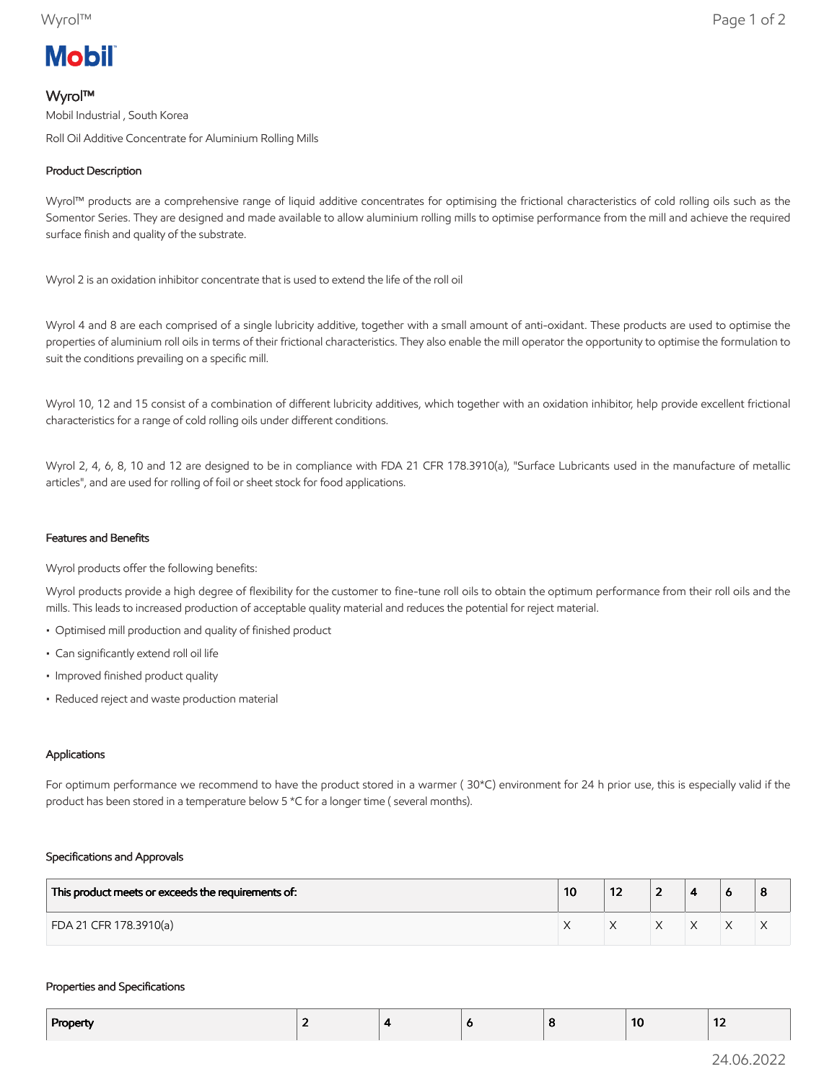# **Mobil**

# Wyrol™

Mobil Industrial , South Korea Roll Oil Additive Concentrate for Aluminium Rolling Mills

# Product Description

Wyrol™ products are a comprehensive range of liquid additive concentrates for optimising the frictional characteristics of cold rolling oils such as the Somentor Series. They are designed and made available to allow aluminium rolling mills to optimise performance from the mill and achieve the required surface finish and quality of the substrate.

Wyrol 2 is an oxidation inhibitor concentrate that is used to extend the life of the roll oil

Wyrol 4 and 8 are each comprised of a single lubricity additive, together with a small amount of anti-oxidant. These products are used to optimise the properties of aluminium roll oils in terms of their frictional characteristics. They also enable the mill operator the opportunity to optimise the formulation to suit the conditions prevailing on a specific mill.

Wyrol 10, 12 and 15 consist of a combination of different lubricity additives, which together with an oxidation inhibitor, help provide excellent frictional characteristics for a range of cold rolling oils under different conditions.

Wyrol 2, 4, 6, 8, 10 and 12 are designed to be in compliance with FDA 21 CFR 178.3910(a), "Surface Lubricants used in the manufacture of metallic articles", and are used for rolling of foil or sheet stock for food applications.

## Features and Benefits

Wyrol products offer the following benefits:

Wyrol products provide a high degree of flexibility for the customer to fine-tune roll oils to obtain the optimum performance from their roll oils and the mills. This leads to increased production of acceptable quality material and reduces the potential for reject material.

- Optimised mill production and quality of finished product
- Can significantly extend roll oil life
- Improved finished product quality
- Reduced reject and waste production material

## Applications

For optimum performance we recommend to have the product stored in a warmer ( 30\*C) environment for 24 h prior use, this is especially valid if the product has been stored in a temperature below 5 \*C for a longer time ( several months).

### Specifications and Approvals

| This product meets or exceeds the requirements of: | 10 | --<br>1 Z | - |  | o |
|----------------------------------------------------|----|-----------|---|--|---|
| FDA 21 CFR 178.3910(a)                             |    |           |   |  | ∧ |

#### Properties and Specifications

| Property |  | o | 10 | .<br>$\overline{\phantom{a}}$ |
|----------|--|---|----|-------------------------------|
|          |  |   |    |                               |